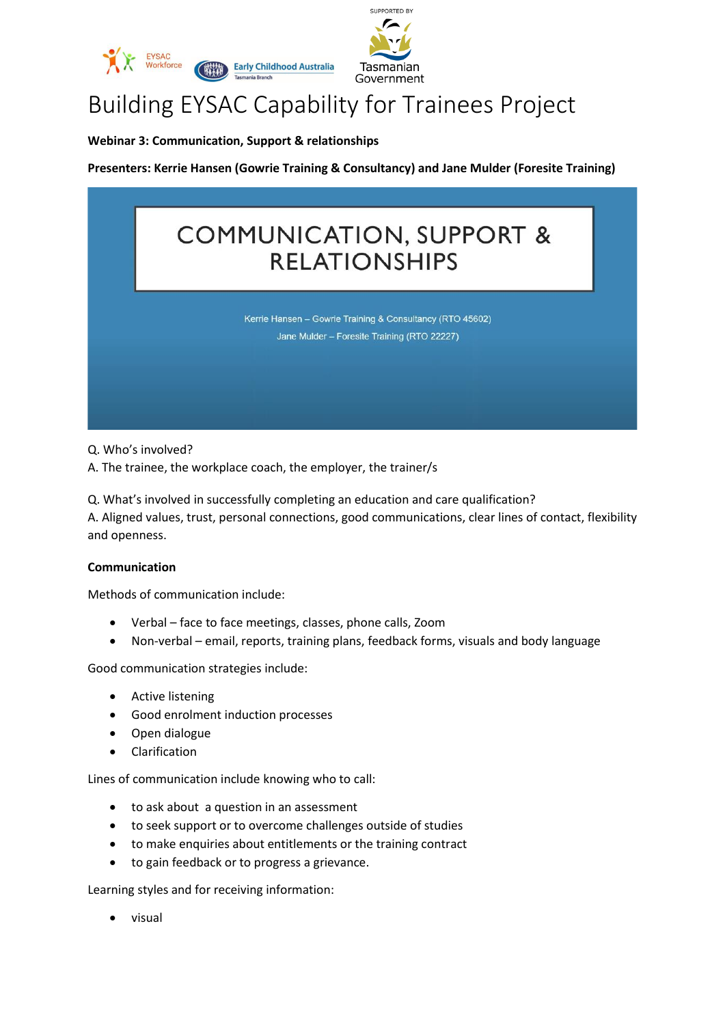



# Building EYSAC Capability for Trainees Project

**Webinar 3: Communication, Support & relationships**

**Presenters: Kerrie Hansen (Gowrie Training & Consultancy) and Jane Mulder (Foresite Training)**

## **COMMUNICATION, SUPPORT & RELATIONSHIPS**

Kerrie Hansen - Gowrie Training & Consultancy (RTO 45602) Jane Mulder - Foresite Training (RTO 22227)

Q. Who's involved?

A. The trainee, the workplace coach, the employer, the trainer/s

Q. What's involved in successfully completing an education and care qualification? A. Aligned values, trust, personal connections, good communications, clear lines of contact, flexibility and openness.

#### **Communication**

Methods of communication include:

- Verbal face to face meetings, classes, phone calls, Zoom
- Non-verbal email, reports, training plans, feedback forms, visuals and body language

Good communication strategies include:

- Active listening
- Good enrolment induction processes
- Open dialogue
- Clarification

Lines of communication include knowing who to call:

- to ask about a question in an assessment
- to seek support or to overcome challenges outside of studies
- to make enquiries about entitlements or the training contract
- to gain feedback or to progress a grievance.

Learning styles and for receiving information:

• visual